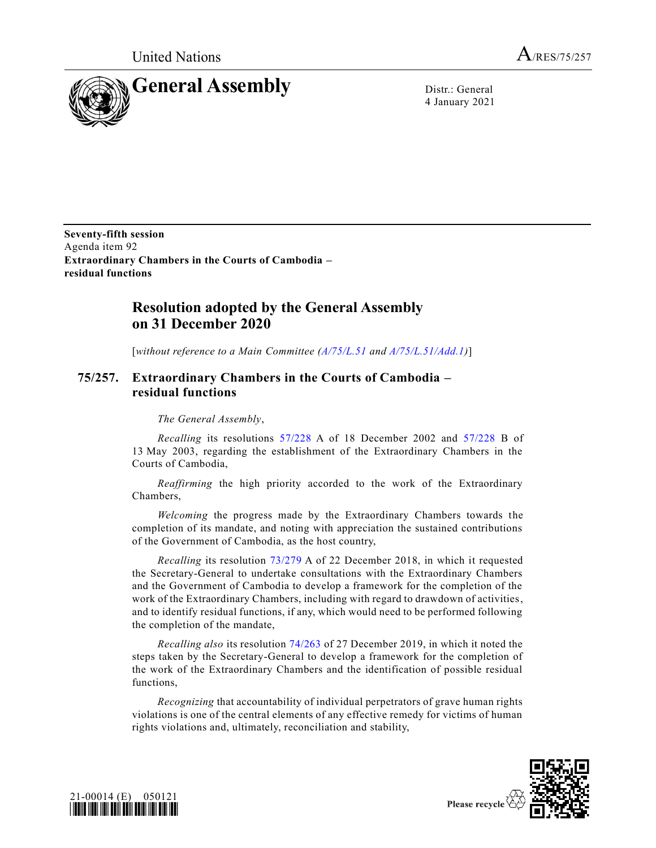United Nations  $A_{/RES/75/257}$ 



4 January 2021

**Seventy-fifth session** Agenda item 92 **Extraordinary Chambers in the Courts of Cambodia – residual functions**

## **Resolution adopted by the General Assembly on 31 December 2020**

[*without reference to a Main Committee [\(A/75/L.51](https://undocs.org/en/A/75/L.51) and [A/75/L.51/Add.1\)](https://undocs.org/en/A/75/L.51/Add.1)*]

## **75/257. Extraordinary Chambers in the Courts of Cambodia – residual functions**

*The General Assembly*,

*Recalling* its resolutions [57/228](https://undocs.org/en/A/RES/57/228) A of 18 December 2002 and [57/228](https://undocs.org/en/A/RES/57/228b) B of 13 May 2003, regarding the establishment of the Extraordinary Chambers in the Courts of Cambodia,

*Reaffirming* the high priority accorded to the work of the Extraordinary Chambers,

*Welcoming* the progress made by the Extraordinary Chambers towards the completion of its mandate, and noting with appreciation the sustained contributions of the Government of Cambodia, as the host country,

*Recalling* its resolution [73/279](https://undocs.org/en/A/RES/73/279) A of 22 December 2018, in which it requested the Secretary-General to undertake consultations with the Extraordinary Chambers and the Government of Cambodia to develop a framework for the completion of the work of the Extraordinary Chambers, including with regard to drawdown of activities, and to identify residual functions, if any, which would need to be performed following the completion of the mandate,

*Recalling also* its resolution [74/263](https://undocs.org/en/A/RES/74/263) of 27 December 2019, in which it noted the steps taken by the Secretary-General to develop a framework for the completion of the work of the Extraordinary Chambers and the identification of possible residual functions,

*Recognizing* that accountability of individual perpetrators of grave human rights violations is one of the central elements of any effective remedy for victims of human rights violations and, ultimately, reconciliation and stability,